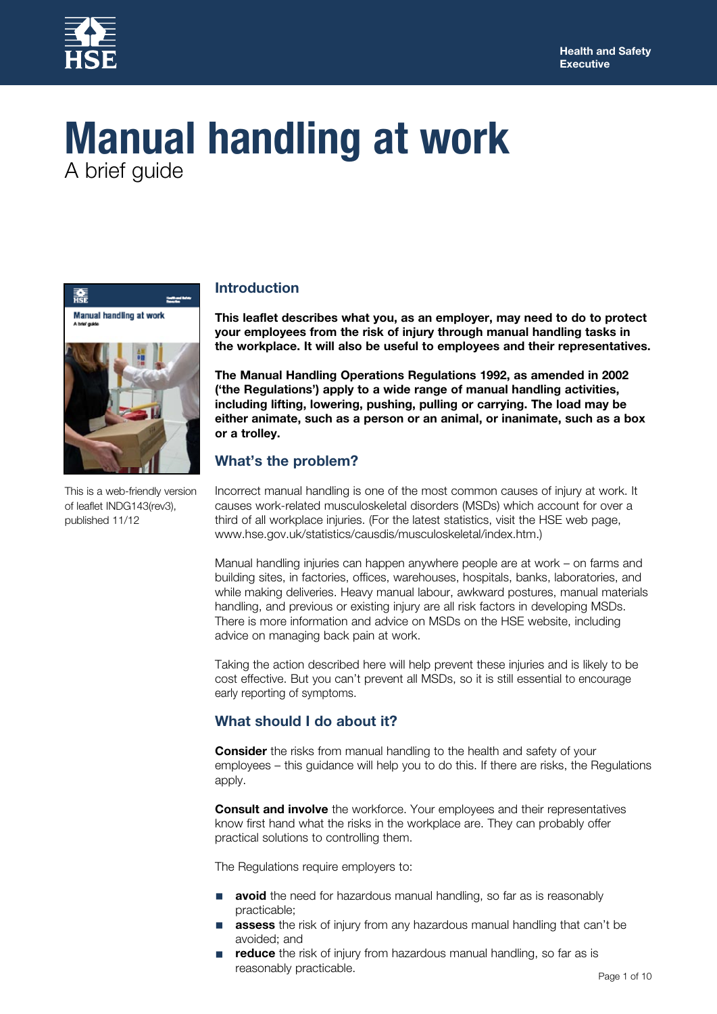

# **Manual handling at work** A brief guide



This is a web-friendly version of leaflet INDG143(rev3), published 11/12

## **Introduction**

**This leaflet describes what you, as an employer, may need to do to protect your employees from the risk of injury through manual handling tasks in the workplace. It will also be useful to employees and their representatives.**

**The Manual Handling Operations Regulations 1992, as amended in 2002 ('the Regulations') apply to a wide range of manual handling activities, including lifting, lowering, pushing, pulling or carrying. The load may be either animate, such as a person or an animal, or inanimate, such as a box or a trolley.**

## **What's the problem?**

Incorrect manual handling is one of the most common causes of injury at work. It causes work-related musculoskeletal disorders (MSDs) which account for over a third of all workplace injuries. (For the latest statistics, visit the HSE web page, www.hse.gov.uk/statistics/causdis/musculoskeletal/index.htm.)

Manual handling injuries can happen anywhere people are at work – on farms and building sites, in factories, offices, warehouses, hospitals, banks, laboratories, and while making deliveries. Heavy manual labour, awkward postures, manual materials handling, and previous or existing injury are all risk factors in developing MSDs. There is more information and advice on MSDs on the HSE website, including advice on managing back pain at work.

Taking the action described here will help prevent these injuries and is likely to be cost effective. But you can't prevent all MSDs, so it is still essential to encourage early reporting of symptoms.

# **What should I do about it?**

**Consider** the risks from manual handling to the health and safety of your employees – this guidance will help you to do this. If there are risks, the Regulations apply.

**Consult and involve** the workforce. Your employees and their representatives know first hand what the risks in the workplace are. They can probably offer practical solutions to controlling them.

The Regulations require employers to:

- avoid the need for hazardous manual handling, so far as is reasonably practicable;
- assess the risk of injury from any hazardous manual handling that can't be avoided; and
- reduce the risk of injury from hazardous manual handling, so far as is reasonably practicable.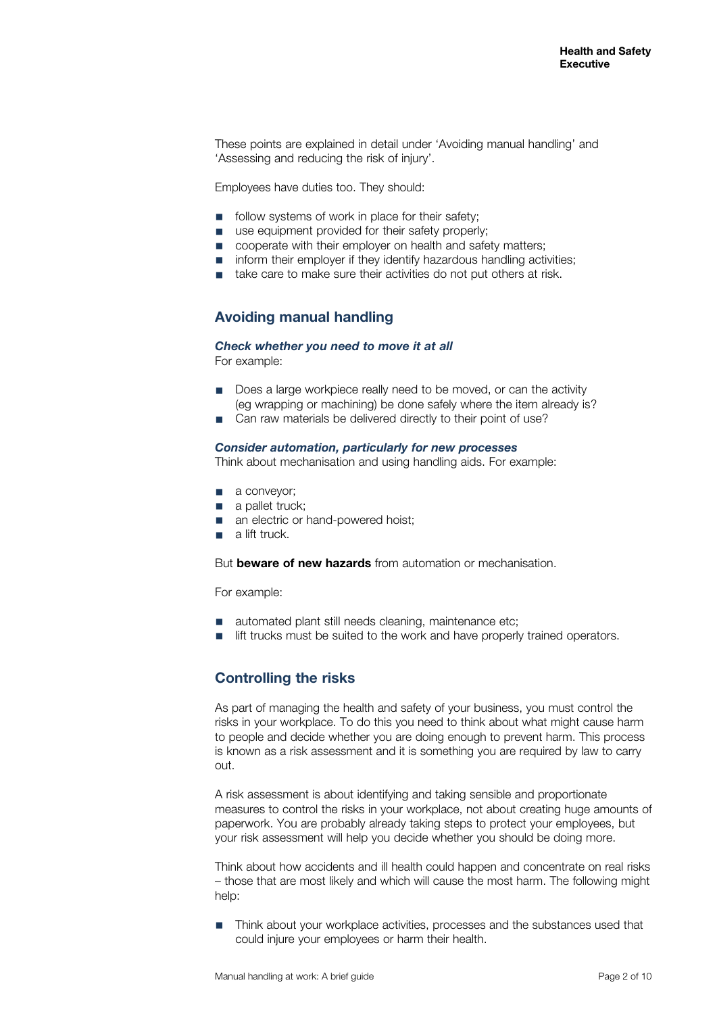These points are explained in detail under 'Avoiding manual handling' and 'Assessing and reducing the risk of injury'.

Employees have duties too. They should:

- follow systems of work in place for their safety:
- use equipment provided for their safety properly;
- cooperate with their employer on health and safety matters:
- inform their employer if they identify hazardous handling activities:
- take care to make sure their activities do not put others at risk.

## **Avoiding manual handling**

*Check whether you need to move it at all*

For example:

- Does a large workpiece really need to be moved, or can the activity (eg wrapping or machining) be done safely where the item already is?
- Can raw materials be delivered directly to their point of use?

#### *Consider automation, particularly for new processes*

Think about mechanisation and using handling aids. For example:

- a conveyor;
- a pallet truck;
- an electric or hand-powered hoist;
- a lift truck.

But **beware of new hazards** from automation or mechanisation.

For example:

- automated plant still needs cleaning, maintenance etc;
- lift trucks must be suited to the work and have properly trained operators.

## **Controlling the risks**

As part of managing the health and safety of your business, you must control the risks in your workplace. To do this you need to think about what might cause harm to people and decide whether you are doing enough to prevent harm. This process is known as a risk assessment and it is something you are required by law to carry out.

A risk assessment is about identifying and taking sensible and proportionate measures to control the risks in your workplace, not about creating huge amounts of paperwork. You are probably already taking steps to protect your employees, but your risk assessment will help you decide whether you should be doing more.

Think about how accidents and ill health could happen and concentrate on real risks – those that are most likely and which will cause the most harm. The following might help:

■ Think about your workplace activities, processes and the substances used that could injure your employees or harm their health.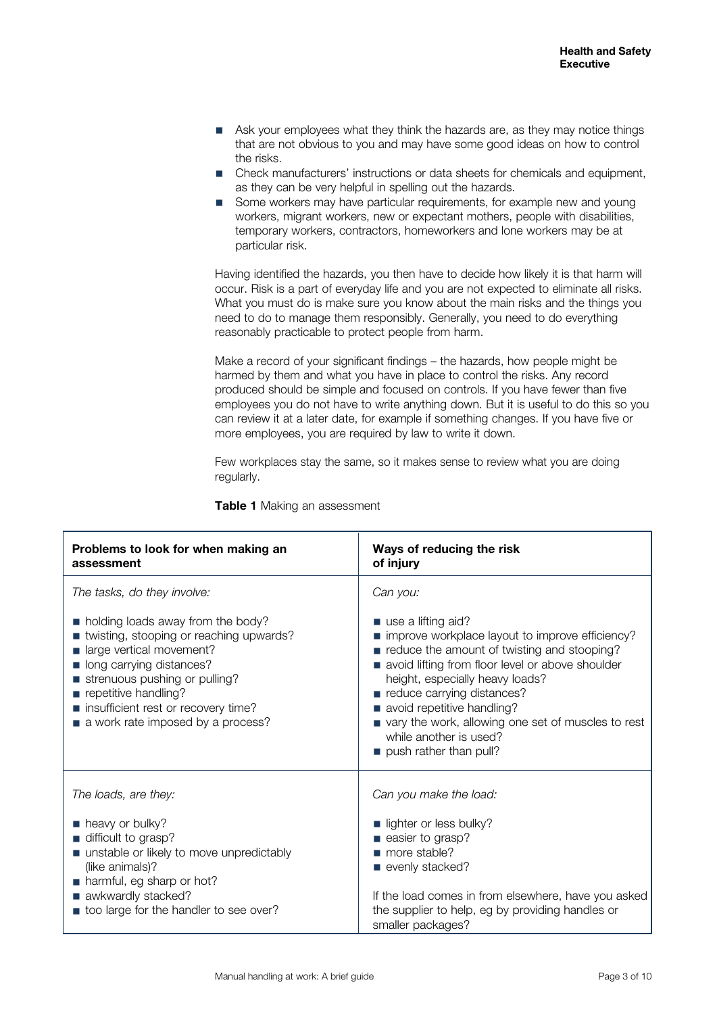- Ask your employees what they think the hazards are, as they may notice things that are not obvious to you and may have some good ideas on how to control the risks.
- Check manufacturers' instructions or data sheets for chemicals and equipment, as they can be very helpful in spelling out the hazards.
- Some workers may have particular requirements, for example new and young workers, migrant workers, new or expectant mothers, people with disabilities, temporary workers, contractors, homeworkers and lone workers may be at particular risk.

Having identified the hazards, you then have to decide how likely it is that harm will occur. Risk is a part of everyday life and you are not expected to eliminate all risks. What you must do is make sure you know about the main risks and the things you need to do to manage them responsibly. Generally, you need to do everything reasonably practicable to protect people from harm.

Make a record of your significant findings – the hazards, how people might be harmed by them and what you have in place to control the risks. Any record produced should be simple and focused on controls. If you have fewer than five employees you do not have to write anything down. But it is useful to do this so you can review it at a later date, for example if something changes. If you have five or more employees, you are required by law to write it down.

Few workplaces stay the same, so it makes sense to review what you are doing regularly.

| Problems to look for when making an<br>assessment                                                                                                                                                                                                                               | Ways of reducing the risk<br>of injury                                                                                                                                                                                                                                                                                                                                            |
|---------------------------------------------------------------------------------------------------------------------------------------------------------------------------------------------------------------------------------------------------------------------------------|-----------------------------------------------------------------------------------------------------------------------------------------------------------------------------------------------------------------------------------------------------------------------------------------------------------------------------------------------------------------------------------|
| The tasks, do they involve:                                                                                                                                                                                                                                                     | Can you:                                                                                                                                                                                                                                                                                                                                                                          |
| • holding loads away from the body?<br>■ twisting, stooping or reaching upwards?<br>large vertical movement?<br>long carrying distances?<br>strenuous pushing or pulling?<br>repetitive handling?<br>■ insufficient rest or recovery time?<br>a work rate imposed by a process? | use a lifting aid?<br>improve workplace layout to improve efficiency?<br>reduce the amount of twisting and stooping?<br>avoid lifting from floor level or above shoulder<br>height, especially heavy loads?<br>reduce carrying distances?<br>avoid repetitive handling?<br>vary the work, allowing one set of muscles to rest<br>while another is used?<br>push rather than pull? |
| The loads, are they:                                                                                                                                                                                                                                                            | Can you make the load:                                                                                                                                                                                                                                                                                                                                                            |
| heavy or bulky?<br>difficult to grasp?<br>■ unstable or likely to move unpredictably<br>(like animals)?<br>harmful, eg sharp or hot?<br>awkwardly stacked?<br>too large for the handler to see over?                                                                            | lighter or less bulky?<br>easier to grasp?<br>more stable?<br>evenly stacked?<br>If the load comes in from elsewhere, have you asked<br>the supplier to help, eg by providing handles or<br>smaller packages?                                                                                                                                                                     |

**Table 1** Making an assessment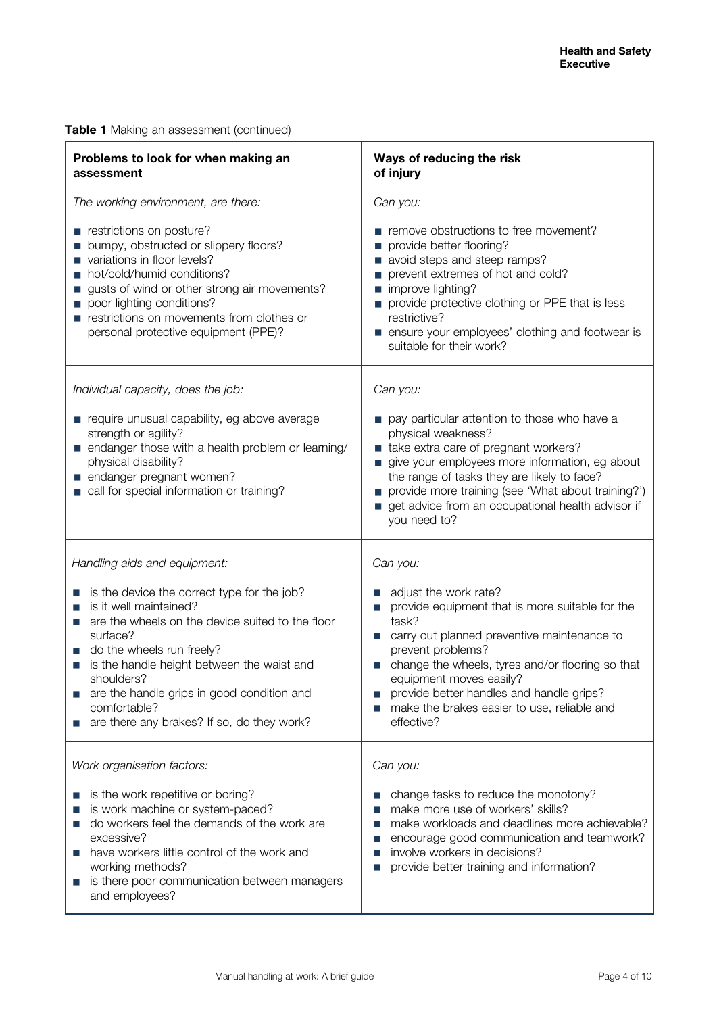|  |  | Table 1 Making an assessment (continued) |  |
|--|--|------------------------------------------|--|
|--|--|------------------------------------------|--|

| Problems to look for when making an<br>assessment                                                                                                                                                                                                                                                                                                    | Ways of reducing the risk<br>of injury                                                                                                                                                                                                                                                                                                        |  |
|------------------------------------------------------------------------------------------------------------------------------------------------------------------------------------------------------------------------------------------------------------------------------------------------------------------------------------------------------|-----------------------------------------------------------------------------------------------------------------------------------------------------------------------------------------------------------------------------------------------------------------------------------------------------------------------------------------------|--|
| The working environment, are there:                                                                                                                                                                                                                                                                                                                  | Can you:                                                                                                                                                                                                                                                                                                                                      |  |
| restrictions on posture?<br>bumpy, obstructed or slippery floors?<br>variations in floor levels?<br>hot/cold/humid conditions?<br>gusts of wind or other strong air movements?<br>poor lighting conditions?<br>restrictions on movements from clothes or<br>personal protective equipment (PPE)?                                                     | remove obstructions to free movement?<br>provide better flooring?<br>avoid steps and steep ramps?<br>prevent extremes of hot and cold?<br>improve lighting?<br>provide protective clothing or PPE that is less<br>restrictive?<br>ensure your employees' clothing and footwear is<br>suitable for their work?                                 |  |
| Individual capacity, does the job:<br>require unusual capability, eg above average                                                                                                                                                                                                                                                                   | Can you:<br>pay particular attention to those who have a                                                                                                                                                                                                                                                                                      |  |
| strength or agility?<br>■ endanger those with a health problem or learning/<br>physical disability?<br>endanger pregnant women?<br>call for special information or training?                                                                                                                                                                         | physical weakness?<br>take extra care of pregnant workers?<br>give your employees more information, eg about<br>the range of tasks they are likely to face?<br>provide more training (see 'What about training?')<br>get advice from an occupational health advisor if<br>you need to?                                                        |  |
| Handling aids and equipment:                                                                                                                                                                                                                                                                                                                         | Can you:                                                                                                                                                                                                                                                                                                                                      |  |
| is the device the correct type for the job?<br>is it well maintained?<br>are the wheels on the device suited to the floor<br>surface?<br>do the wheels run freely?<br>is the handle height between the waist and<br>shoulders?<br>are the handle grips in good condition and<br>П<br>comfortable?<br>are there any brakes? If so, do they work?<br>ш | adjust the work rate?<br>provide equipment that is more suitable for the<br>task?<br>carry out planned preventive maintenance to<br>prevent problems?<br>change the wheels, tyres and/or flooring so that<br>equipment moves easily?<br>provide better handles and handle grips?<br>make the brakes easier to use, reliable and<br>effective? |  |
| Work organisation factors:                                                                                                                                                                                                                                                                                                                           | Can you:                                                                                                                                                                                                                                                                                                                                      |  |
| is the work repetitive or boring?<br>is work machine or system-paced?<br>do workers feel the demands of the work are<br>ш<br>excessive?<br>have workers little control of the work and<br>П<br>working methods?<br>is there poor communication between managers<br>П<br>and employees?                                                               | change tasks to reduce the monotony?<br>make more use of workers' skills?<br>make workloads and deadlines more achievable?<br>encourage good communication and teamwork?<br>involve workers in decisions?<br>provide better training and information?                                                                                         |  |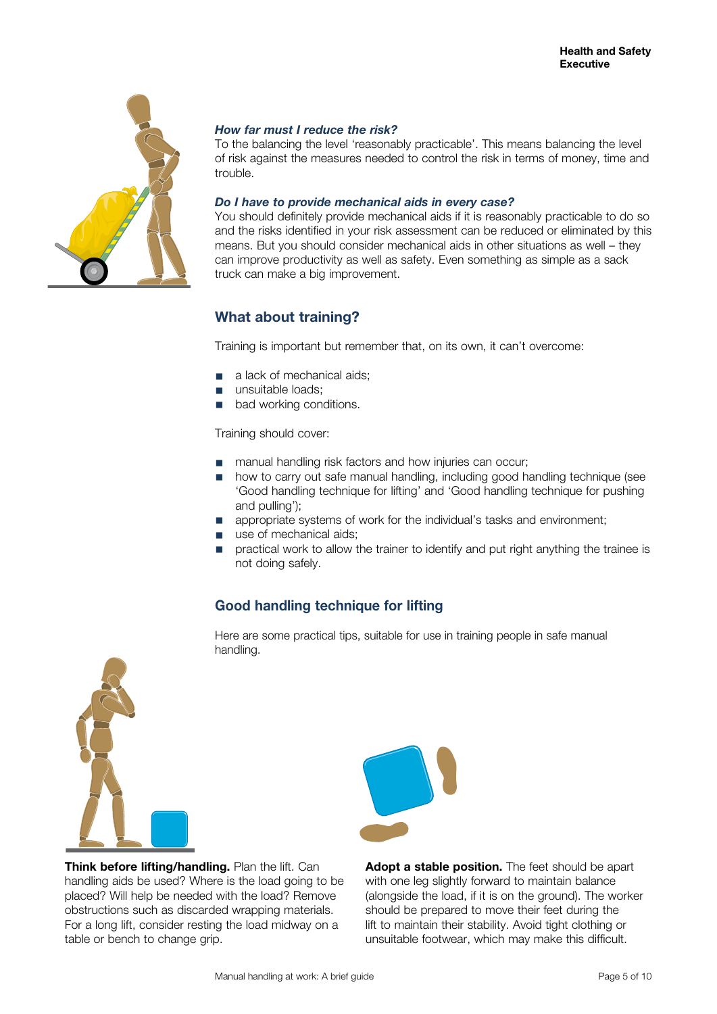

## *How far must I reduce the risk?*

To the balancing the level 'reasonably practicable'. This means balancing the level of risk against the measures needed to control the risk in terms of money, time and trouble.

#### *Do I have to provide mechanical aids in every case?*

You should definitely provide mechanical aids if it is reasonably practicable to do so and the risks identified in your risk assessment can be reduced or eliminated by this means. But you should consider mechanical aids in other situations as well – they can improve productivity as well as safety. Even something as simple as a sack truck can make a big improvement.

# **What about training?**

Training is important but remember that, on its own, it can't overcome:

- a lack of mechanical aids:
- unsuitable loads:
- bad working conditions.

Training should cover:

- manual handling risk factors and how injuries can occur;
- how to carry out safe manual handling, including good handling technique (see 'Good handling technique for lifting' and 'Good handling technique for pushing and pulling');
- appropriate systems of work for the individual's tasks and environment;
- use of mechanical aids;
- practical work to allow the trainer to identify and put right anything the trainee is not doing safely.

# **Good handling technique for lifting**

Here are some practical tips, suitable for use in training people in safe manual handling.



**Think before lifting/handling.** Plan the lift. Can handling aids be used? Where is the load going to be placed? Will help be needed with the load? Remove obstructions such as discarded wrapping materials. For a long lift, consider resting the load midway on a table or bench to change grip.



Adopt a stable position. The feet should be apart with one leg slightly forward to maintain balance (alongside the load, if it is on the ground). The worker should be prepared to move their feet during the lift to maintain their stability. Avoid tight clothing or unsuitable footwear, which may make this difficult.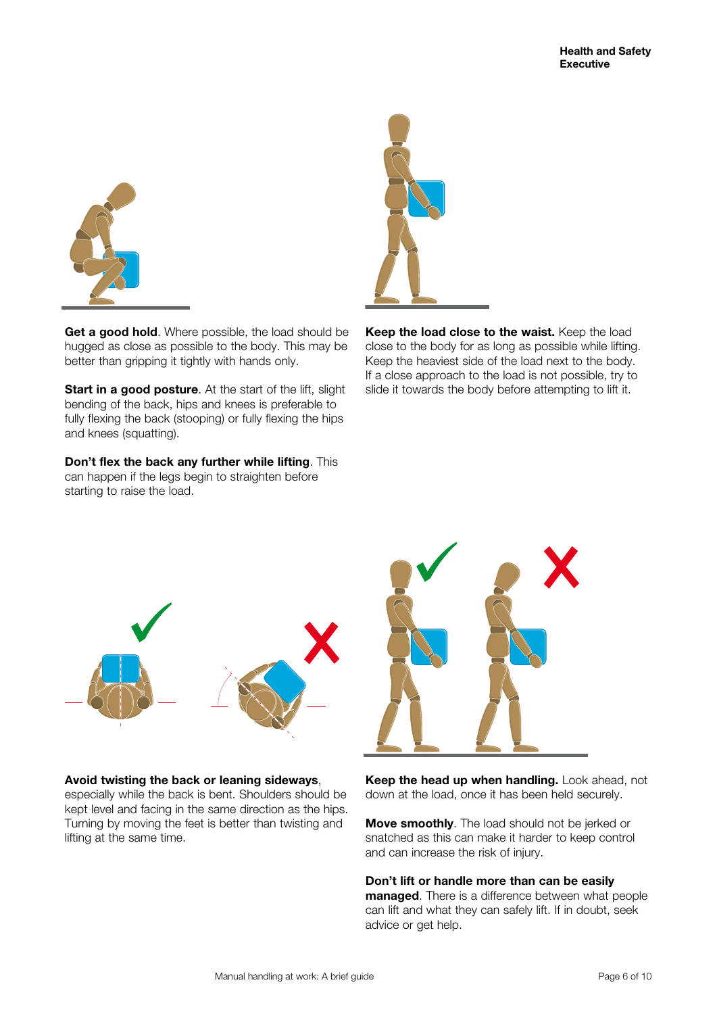

**Get a good hold**. Where possible, the load should be hugged as close as possible to the body. This may be better than gripping it tightly with hands only.

**Start in a good posture**. At the start of the lift, slight bending of the back, hips and knees is preferable to fully flexing the back (stooping) or fully flexing the hips and knees (squatting).

**Don't flex the back any further while lifting**. This can happen if the legs begin to straighten before starting to raise the load.



**Keep the load close to the waist.** Keep the load close to the body for as long as possible while lifting. Keep the heaviest side of the load next to the body. If a close approach to the load is not possible, try to slide it towards the body before attempting to lift it.



#### **Avoid twisting the back or leaning sideways**,

especially while the back is bent. Shoulders should be kept level and facing in the same direction as the hips. Turning by moving the feet is better than twisting and lifting at the same time.



**Keep the head up when handling.** Look ahead, not down at the load, once it has been held securely.

**Move smoothly**. The load should not be jerked or snatched as this can make it harder to keep control and can increase the risk of injury.

**Don't lift or handle more than can be easily managed**. There is a difference between what people can lift and what they can safely lift. If in doubt, seek advice or get help.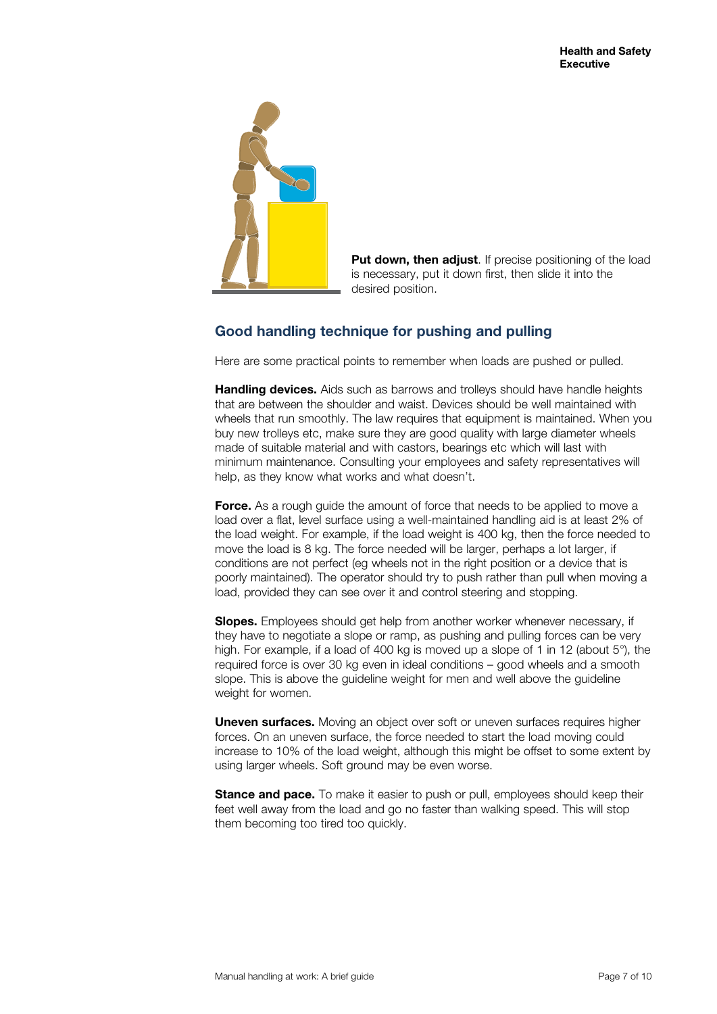

**Put down, then adjust**. If precise positioning of the load is necessary, put it down first, then slide it into the desired position.

# **Good handling technique for pushing and pulling**

Here are some practical points to remember when loads are pushed or pulled.

**Handling devices.** Aids such as barrows and trolleys should have handle heights that are between the shoulder and waist. Devices should be well maintained with wheels that run smoothly. The law requires that equipment is maintained. When you buy new trolleys etc, make sure they are good quality with large diameter wheels made of suitable material and with castors, bearings etc which will last with minimum maintenance. Consulting your employees and safety representatives will help, as they know what works and what doesn't.

**Force.** As a rough guide the amount of force that needs to be applied to move a load over a flat, level surface using a well-maintained handling aid is at least 2% of the load weight. For example, if the load weight is 400 kg, then the force needed to move the load is 8 kg. The force needed will be larger, perhaps a lot larger, if conditions are not perfect (eg wheels not in the right position or a device that is poorly maintained). The operator should try to push rather than pull when moving a load, provided they can see over it and control steering and stopping.

**Slopes.** Employees should get help from another worker whenever necessary, if they have to negotiate a slope or ramp, as pushing and pulling forces can be very high. For example, if a load of 400 kg is moved up a slope of 1 in 12 (about 5°), the required force is over 30 kg even in ideal conditions – good wheels and a smooth slope. This is above the guideline weight for men and well above the guideline weight for women.

**Uneven surfaces.** Moving an object over soft or uneven surfaces requires higher forces. On an uneven surface, the force needed to start the load moving could increase to 10% of the load weight, although this might be offset to some extent by using larger wheels. Soft ground may be even worse.

**Stance and pace.** To make it easier to push or pull, employees should keep their feet well away from the load and go no faster than walking speed. This will stop them becoming too tired too quickly.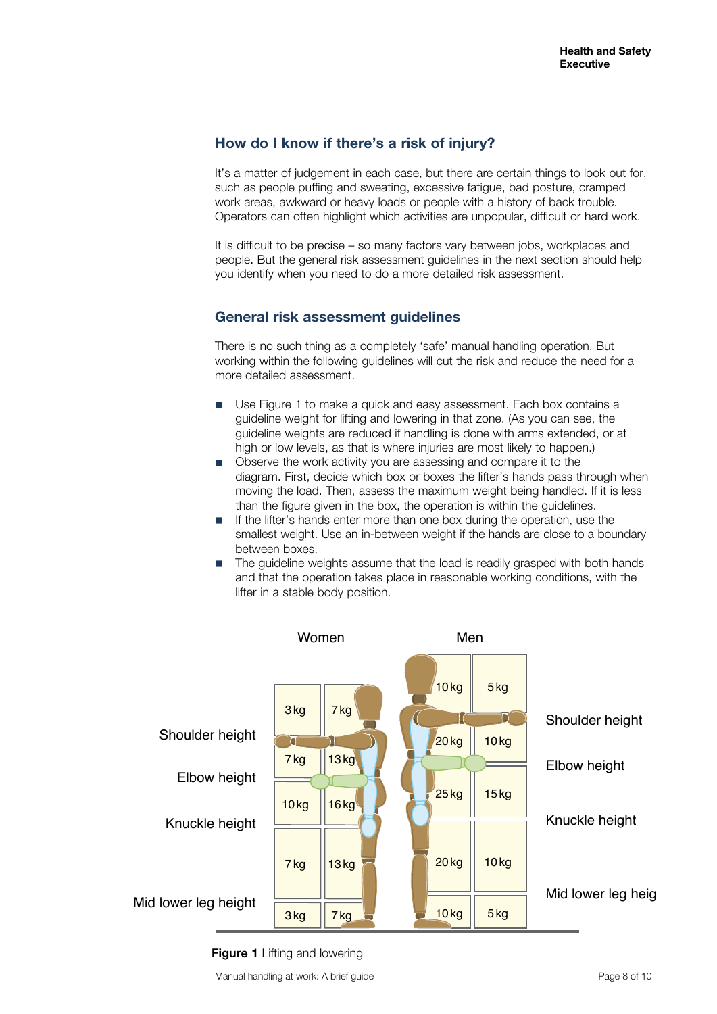## **How do I know if there's a risk of injury?**

It's a matter of judgement in each case, but there are certain things to look out for, such as people puffing and sweating, excessive fatigue, bad posture, cramped work areas, awkward or heavy loads or people with a history of back trouble. Operators can often highlight which activities are unpopular, difficult or hard work.

It is difficult to be precise – so many factors vary between jobs, workplaces and people. But the general risk assessment guidelines in the next section should help you identify when you need to do a more detailed risk assessment.

## **General risk assessment guidelines**

There is no such thing as a completely 'safe' manual handling operation. But working within the following guidelines will cut the risk and reduce the need for a more detailed assessment.

- Use Figure 1 to make a quick and easy assessment. Each box contains a guideline weight for lifting and lowering in that zone. (As you can see, the guideline weights are reduced if handling is done with arms extended, or at high or low levels, as that is where injuries are most likely to happen.)
- Observe the work activity you are assessing and compare it to the diagram. First, decide which box or boxes the lifter's hands pass through when moving the load. Then, assess the maximum weight being handled. If it is less than the figure given in the box, the operation is within the guidelines.
- If the lifter's hands enter more than one box during the operation, use the smallest weight. Use an in-between weight if the hands are close to a boundary between boxes.
- The guideline weights assume that the load is readily grasped with both hands and that the operation takes place in reasonable working conditions, with the lifter in a stable body position.



#### **Figure 1** Lifting and lowering

Manual handling at work: A brief guide **Page 8 of 10** and the Page 8 of 10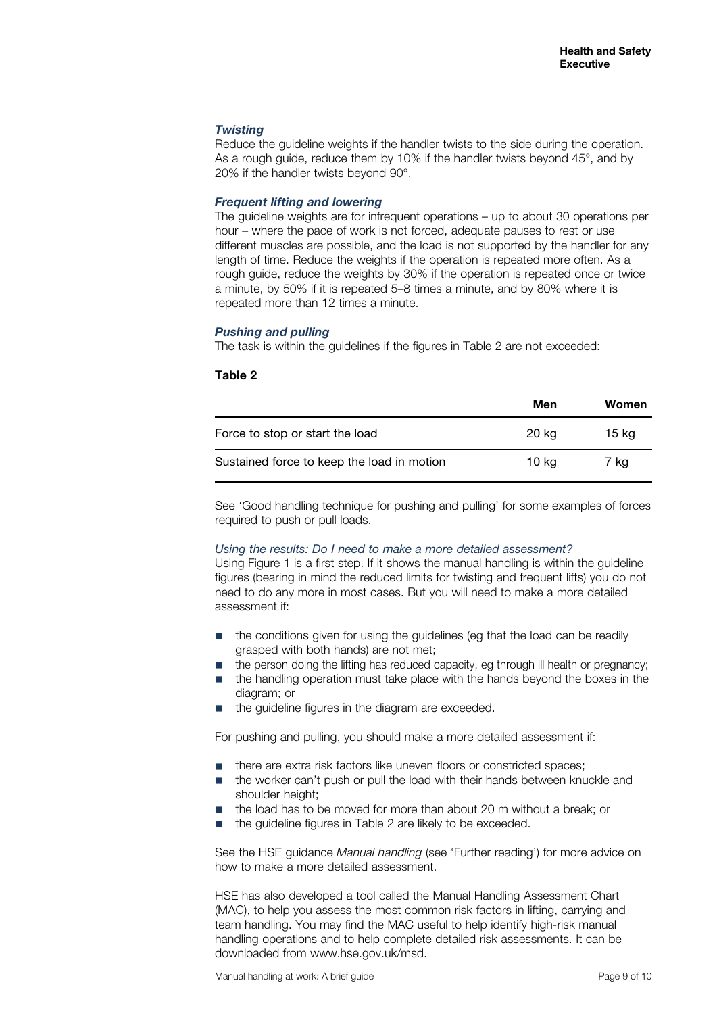## *Twisting*

Reduce the guideline weights if the handler twists to the side during the operation. As a rough guide, reduce them by 10% if the handler twists beyond 45°, and by 20% if the handler twists beyond 90°.

### *Frequent lifting and lowering*

The guideline weights are for infrequent operations – up to about 30 operations per hour – where the pace of work is not forced, adequate pauses to rest or use different muscles are possible, and the load is not supported by the handler for any length of time. Reduce the weights if the operation is repeated more often. As a rough guide, reduce the weights by 30% if the operation is repeated once or twice a minute, by 50% if it is repeated 5–8 times a minute, and by 80% where it is repeated more than 12 times a minute.

## *Pushing and pulling*

The task is within the guidelines if the figures in Table 2 are not exceeded:

#### **Table 2**

|                                            | Men   | Women |
|--------------------------------------------|-------|-------|
| Force to stop or start the load            | 20 kg | 15 kg |
| Sustained force to keep the load in motion | 10 kg | 7 ka  |

See 'Good handling technique for pushing and pulling' for some examples of forces required to push or pull loads.

#### *Using the results: Do I need to make a more detailed assessment?*

Using Figure 1 is a first step. If it shows the manual handling is within the guideline figures (bearing in mind the reduced limits for twisting and frequent lifts) you do not need to do any more in most cases. But you will need to make a more detailed assessment if:

- the conditions given for using the guidelines (eg that the load can be readily grasped with both hands) are not met;
- the person doing the lifting has reduced capacity, eg through ill health or pregnancy;
- the handling operation must take place with the hands beyond the boxes in the diagram; or
- the guideline figures in the diagram are exceeded.

For pushing and pulling, you should make a more detailed assessment if:

- there are extra risk factors like uneven floors or constricted spaces;
- the worker can't push or pull the load with their hands between knuckle and shoulder height;
- the load has to be moved for more than about 20 m without a break; or
- the guideline figures in Table 2 are likely to be exceeded.

See the HSE guidance *Manual handling* (see 'Further reading') for more advice on how to make a more detailed assessment.

HSE has also developed a tool called the Manual Handling Assessment Chart (MAC), to help you assess the most common risk factors in lifting, carrying and team handling. You may find the MAC useful to help identify high-risk manual handling operations and to help complete detailed risk assessments. It can be downloaded from www.hse.gov.uk/msd.